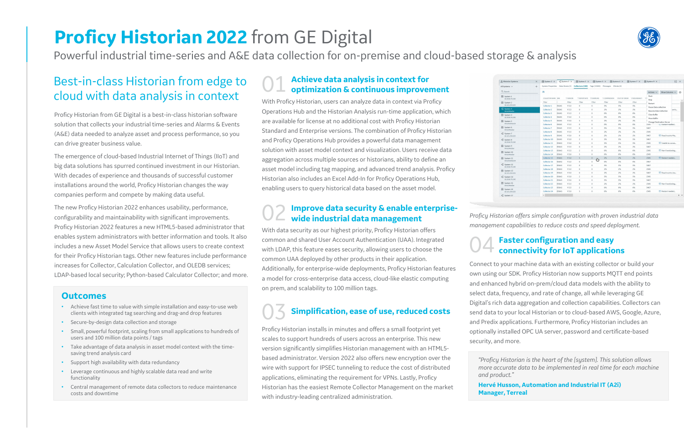## **Proficy Historian 2022** from GE Digital

Powerful industrial time-series and A&E data collection for on-premise and cloud-based storage & analysis

## Best-in-class Historian from edge to cloud with data analysis in context

Proficy Historian from GE Digital is a best-in-class historian software solution that collects your industrial time-series and Alarms & Events (A&E) data needed to analyze asset and process performance, so you can drive greater business value.

The emergence of cloud-based Industrial Internet of Things (IIoT) and big data solutions has spurred continued investment in our Historian. With decades of experience and thousands of successful customer installations around the world, Proficy Historian changes the way companies perform and compete by making data useful.

The new Proficy Historian 2022 enhances usability, performance, configurability and maintainability with significant improvements. Proficy Historian 2022 features a new HTML5-based administrator that enables system administrators with better information and tools. It also includes a new Asset Model Service that allows users to create context for their Proficy Historian tags. Other new features include performance increases for Collector, Calculation Collector, and OLEDB services; LDAP-based local security; Python-based Calculator Collector; and more.

## **Improve data security & enable enterprisewide industrial data management**

# 01 **Achieve data analysis in context for optimization & continuous improvement**

With Proficy Historian, users can analyze data in context via Proficy Operations Hub and the Historian Analysis run-time application, which are available for license at no additional cost with Proficy Historian Standard and Enterprise versions. The combination of Proficy Historian and Proficy Operations Hub provides a powerful data management solution with asset model context and visualization. Users receive data aggregation across multiple sources or historians, ability to define an asset model including tag mapping, and advanced trend analysis. Proficy Historian also includes an Excel Add-In for Proficy Operations Hub, enabling users to query historical data based on the asset model.

With data security as our highest priority, Proficy Historian offers common and shared User Account Authentication (UAA). Integrated with LDAP, this feature eases security, allowing users to choose the common UAA deployed by other products in their application. Additionally, for enterprise-wide deployments, Proficy Historian features a model for cross-enterprise data access, cloud-like elastic computing on prem, and scalability to 100 million tags.

## 03 **Simplification, ease of use, reduced costs**

Proficy Historian installs in minutes and offers a small footprint yet scales to support hundreds of users across an enterprise. This new version significantly simplifies Historian management with an HTML5 based administrator. Version 2022 also offers new encryption over the wire with support for IPSEC tunneling to reduce the cost of distributed applications, eliminating the requirement for VPNs. Lastly, Proficy Historian has the easiest Remote Collector Management on the market with industry-leading centralized administration.

# 04 **Faster configuration and easy connectivity for IoT applications**

Connect to your machine data with an existing collector or build your own using our SDK. Proficy Historian now supports MQTT end points and enhanced hybrid on-prem/cloud data models with the ability to select data, frequency, and rate of change, all while leveraging GE Digital's rich data aggregation and collection capabilities. Collectors can send data to your local Historian or to cloud-based AWS, Google, Azure, and Predix applications. Furthermore, Proficy Historian includes an optionally installed OPC UA server, password and certificate-based security, and more.

## **Outcomes**

- Achieve fast time to value with simple installation and easy-to-use web clients with integrated tag searching and drag-and drop features
- Secure-by-design data collection and storage
- Small, powerful footprint, scaling from small applications to hundreds of users and 100 million data points / tags
- Take advantage of data analysis in asset model context with the timesaving trend analysis card
- Support high availability with data redundancy
- Leverage continuous and highly scalable data read and write functionality
- Central management of remote data collectors to reduce maintenance costs and downtime

*Proficy Historian offers simple configuration with proven industrial data management capabilities to reduce costs and speed deployment.*



| & Historian Systems                           | $\times$ | 图 System 2 X             | $\frac{1}{2}$ System 3 $\times$ |                  | <b>■</b> System 1 ×                                | □ System 5 × |               | <b>■</b> System 4 ×  | <b>■</b> System 7 × | <b>■</b> System 9 ×           |                                  | 日 ×          |         |
|-----------------------------------------------|----------|--------------------------|---------------------------------|------------------|----------------------------------------------------|--------------|---------------|----------------------|---------------------|-------------------------------|----------------------------------|--------------|---------|
| All Systems V                                 | $+$      | <b>System Properties</b> | Data Stores (3)                 |                  | Collectors (500) Tags (13456) Messages Clients (4) |              |               |                      |                     |                               |                                  |              |         |
| Q Search                                      |          | $\theta$                 |                                 |                  |                                                    |              |               |                      |                     | Actions $\vee$                | Show Columns                     | $\checkmark$ | €       |
| <b>图</b> System 1<br>10.2010.76.245           |          | COLLECTOR NAME HINE      |                                 | VVERSION         | <b>VREPORT RATE VOVERRUNS</b>                      |              | Y COMPRESSION | <b>VOUT OF ORDER</b> | VREDUNDANCY VT      | Start<br>Stop                 |                                  |              |         |
| System 2                                      |          | Filter                   |                                 | Filter           | Filter                                             | Filter       | Filter        | Filter               | Filter              | Restart                       |                                  |              |         |
| 10.121.254.325                                |          | Collector 1              | 356AS                           | V <sub>5.0</sub> | $\circ$                                            | $\circ$      | 5%            | 5%                   | 5%                  | Pause Data collection         |                                  |              |         |
| $n_{\rm B}^{\rm II}$ System 3<br>Win10HistSer |          | Collector 2              | <b>B56AS</b>                    | V <sub>5.3</sub> | $\circ$                                            | $\circ$      | 2%            | 2%                   | 2%                  | <b>Resume Data Collection</b> |                                  | ue to        |         |
| e System 4                                    |          | Collector 3              | 356AS                           | V <sub>5.3</sub> | $\overline{c}$                                     | $\circ$      | 0%            | 0%                   | 0%                  | Clear Buffer                  |                                  |              |         |
| 10.2010.76.245                                |          | Collector 4              | 356AS                           | V <sub>5.0</sub> | 5                                                  | $\circ$      | 0%            | 0%                   | 0%                  | Move Buffer                   |                                  |              |         |
| System 5                                      |          | Collector 5              | 356AS                           | V <sub>5.0</sub> | $\overline{5}$                                     | $\Omega$     | 2%            | 2%                   | 2%                  |                               | <b>Change Destination Server</b> |              |         |
| Win2016Hist24                                 |          | Collector 6              | <b>B56AS</b>                    | V <sub>5.3</sub> | $\circ$                                            | $\circ$      | 0%            | 0%                   | 0%                  | 2345                          | tsu Kestart needed               |              |         |
| System 6<br>Win10HistSer                      |          | Collector 7              | 356AS                           | V <sub>5.3</sub> | $\circ$                                            | $\circ$      | 5%            | 5%                   | 5%                  | 3467                          |                                  |              |         |
| $\frac{10}{10}$ System 7                      |          | Collector 8              | <b>B56AS</b>                    | V <sub>5.3</sub> | $\circ$                                            | $\circ$      | 2%            | 2%                   | 2%                  | 2345                          |                                  |              |         |
| 10.121.254.325                                |          | Collector 9              | 356AS                           | V <sub>5.0</sub> | $\circ$                                            | $\circ$      | 2%            | 2%                   | 2%                  | 3467                          | Reach out to Ma.                 |              |         |
| $e_{n}^{B}$ System 8                          |          | Collector 10             | <b>B56AS</b>                    | V <sub>5.0</sub> | $\overline{c}$                                     | $\circ$      | 5%            | 5%                   | 5%                  | 3467                          |                                  |              |         |
| 10.2010.76.245                                |          | Collector 11             | 856AS                           | V <sub>5.0</sub> | $\circ$                                            | $\circ$      | 5%            | 5%                   | 5%                  | 2345                          | Unable to conne                  |              |         |
| System 9<br>Win10HistSer                      |          | Collector 12             | <b>B56AS</b>                    | V <sub>5.3</sub> | $\circ$                                            | $\circ$      | 2%            | 2%                   | 2%                  | 3467                          |                                  |              |         |
| System 10                                     |          | Collector 13             | 856AS                           | V <sub>5.3</sub> | $\overline{c}$                                     | $\circ$      | 0%            | 0%                   | 0%                  | 2345                          | Non Functioning                  |              |         |
| Win10HistSer                                  |          | Collector 14             | <b>856AS</b>                    | V <sub>5.0</sub> | 5                                                  | $\circ$      | 0%            | 0%                   | 0%                  | 2345                          |                                  |              |         |
| System 11                                     |          | Collector 15             | 856AS                           | V <sub>5.0</sub> | $\overline{5}$                                     | $\circ$      | 2%            | 2%                   | 2%                  | 2345                          | Restart needed                   |              |         |
| Win2016Hist24                                 |          | Collector 16             | <b>B56AS</b>                    | V <sub>5.3</sub> | $\circ$                                            | Ĉ<br>$\circ$ | 0%            | 0%                   | 0%                  | 3467                          |                                  |              |         |
| $\frac{10}{2}$ System 12<br>10.2010.76.245    |          | Collector 17             | <b>R56AS</b>                    | V <sub>5.3</sub> | $\circ$                                            | $\circ$      | 5%            | 5%                   | 5%                  | 3467                          |                                  |              |         |
| System 13                                     |          | Collector 18             | <b>856AS</b>                    | V <sub>5.3</sub> | $\circ$                                            | $\circ$      | 2%            | 2%                   | 2%                  | 2345                          |                                  |              |         |
| 10.121.254.325                                |          | Collector 19             | 856AS                           | V <sub>5.0</sub> | $\circ$                                            | $\circ$      | 2%            | 2%                   | 2%                  | 3467                          | Reach out to Jos                 |              |         |
| $n_{n}^{0}$ System 14                         |          | Collector 20             | <b>B56AS</b>                    | V <sub>5.0</sub> | $\overline{c}$                                     | $\circ$      | 5%            | 5%                   | 5%                  | 2345                          |                                  |              |         |
| 10.2010.76.245                                |          | Collector 21             | <b>B56AS</b>                    | V <sub>5.0</sub> | $\circ$                                            | $\circ$      | 5%            | 5%                   | 5%                  | 3467                          |                                  |              |         |
| System 15<br>Win10HistSer                     |          | Collector 22             | 856AS                           | V <sub>5.3</sub> | $\circ$                                            | $\circ$      | 2%            | 2%                   | 2%                  | 2345                          | Non Functioning                  |              |         |
|                                               |          | Collector 23             | 856AS                           | V <sub>5.3</sub> | 2                                                  | $\circ$      | 0%            | 0%                   | 0%                  | 3467                          |                                  |              |         |
| System 16<br>10.121.254.325                   |          | Collector 24             | 856AS                           | V <sub>5.0</sub> | 5                                                  | $\Omega$     | 0%            | 0%                   | 0%                  | 2345                          | Restart needed                   |              |         |
| $\frac{10}{10}$ System 17                     |          | $\overline{a}$           |                                 |                  |                                                    |              |               |                      |                     |                               |                                  |              | $+$ $+$ |

**Hervé Husson, Automation and Industrial IT (A2i) Manager, Terreal**

*"Proficy Historian is the heart of the [system]. This solution allows more accurate data to be implemented in real time for each machine and product."*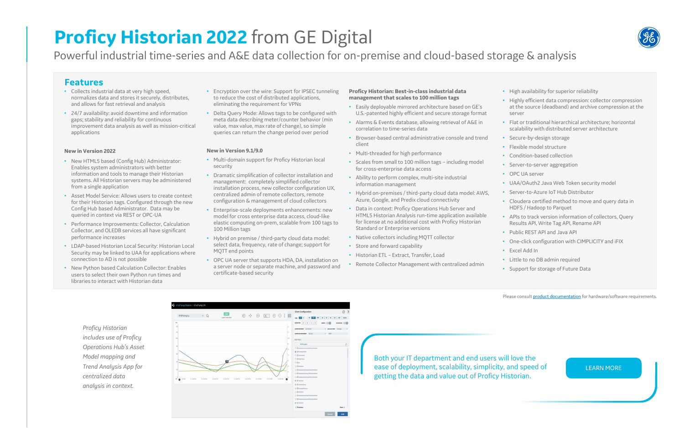# **Proficy Historian 2022** from GE Digital

Powerful industrial time-series and A&E data collection for on-premise and cloud-based storage & analysis

## **Features**

- Collects industrial data at very high speed, normalizes data and stores it securely, distributes, and allows for fast retrieval and analysis
- 24/7 availability: avoid downtime and information gaps; stability and reliability for continuous improvement data analysis as well as mission-critical applications

### **New in Version 2022**

- New HTML5 based (Config Hub) Administrator: Enables system administrators with better information and tools to manage their Historian systems. All Historian servers may be administered from a single application
- Asset Model Service: Allows users to create context for their Historian tags. Configured through the new Config Hub based Administrator. Data may be queried in context via REST or OPC-UA
- Performance Improvements: Collector, Calculation Collector, and OLEDB services all have significant performance increases
- LDAP-based Historian Local Security: Historian Local Security may be linked to UAA for applications where connection to AD is not possible
- New Python based Calculation Collector: Enables users to select their own Python run times and libraries to interact with Historian data
- Easily deployable mirrored architecture based on GE's U.S.-patented highly efficient and secure storage form
- Alarms & Events database, allowing retrieval of A&E in correlation to time-series data
- $\cdot$  Browser-based central administrative console and tre client
- Multi-threaded for high performance
- Scales from small to 100 million tags including mode for cross-enterprise data access
- Ability to perform complex, multi-site industrial information management
- Hybrid on-premises / third-party cloud data model: AV Azure, Google, and Predix cloud connectivity
- Data in context: Proficy Operations Hub Server and HTML5 Historian Analysis run-time application available for license at no additional cost with Proficy Historian Standard or Enterprise versions
- Native collectors including MQTT collector
- Store and forward capability
- Historian ETL Extract, Transfer, Load
- Remote Collector Management with centralized admin
- Encryption over the wire: Support for IPSEC tunneling to reduce the cost of distributed applications, eliminating the requirement for VPNs
- Delta Query Mode: Allows tags to be configured with meta data describing meter/counter behavior (min value, max value, max rate of change), so simple queries can return the change period over period

### **New in Version 9.1/9.0**

- Multi-domain support for Proficy Historian local security
- Dramatic simplification of collector installation and management: completely simplified collector installation process, new collector configuration UX, centralized admin of remote collectors, remote configuration & management of cloud collectors
- Enterprise-scale deployments enhancements: new model for cross enterprise data access, cloud-like elastic computing on-prem, scalable from 100 tags to 100 Million tags
- Hybrid on premise / third-party cloud data model: select data, frequency, rate of change; support for MQTT end points
- OPC UA server that supports HDA, DA, installation on a server node or separate machine, and password and certificate-based security

Both your IT department and end users will love the ease of deployment, scalability, simplicity, and speed of getting the data and value out of Proficy Historian.



[LEARN MORE](https://www.ge.com/digital/applications/historian)

*Proficy Historian includes use of Proficy Operations Hub's Asset Model mapping and Trend Analysis App for centralized data analysis in context.*

|                                      |                    | LIVE                                    |                                                     |                            |                                                                                                                                                                                                                                                                                                                                                     | <b>Chart Configuration</b>                                   |                       | හි                  |
|--------------------------------------|--------------------|-----------------------------------------|-----------------------------------------------------|----------------------------|-----------------------------------------------------------------------------------------------------------------------------------------------------------------------------------------------------------------------------------------------------------------------------------------------------------------------------------------------------|--------------------------------------------------------------|-----------------------|---------------------|
| iFIXPump1a                           | to<br>$\checkmark$ | Last 5 minutes                          | $\stackrel{\leftarrow}{\leftarrow} \rightarrow$<br> | $\bigoplus$                | $\begin{picture}(16,15) \put(0,0){\line(1,0){15}} \put(15,0){\line(1,0){15}} \put(15,0){\line(1,0){15}} \put(15,0){\line(1,0){15}} \put(15,0){\line(1,0){15}} \put(15,0){\line(1,0){15}} \put(15,0){\line(1,0){15}} \put(15,0){\line(1,0){15}} \put(15,0){\line(1,0){15}} \put(15,0){\line(1,0){15}} \put(15,0){\line(1,0){15}} \put(15,0){\line(1$ | 1M 5M<br>TIME<br>$\mathbf{r}$<br>$\,$ H                      | 30H<br>1H<br>2H<br>4H | 8H<br>24H<br>Custom |
|                                      |                    |                                         |                                                     |                            |                                                                                                                                                                                                                                                                                                                                                     | 0:0:5:0<br><b>DURATION</b>                                   | NOTES                 | <b>STATISTICS</b>   |
|                                      |                    |                                         |                                                     |                            |                                                                                                                                                                                                                                                                                                                                                     | 120<br>SAMPLING MODE Calculated                              | $\vee$ CALCULATION    | Average             |
|                                      |                    |                                         |                                                     |                            |                                                                                                                                                                                                                                                                                                                                                     | 110<br>SAMPLING INCREMENT By Size                            | $\times$ 1000         |                     |
|                                      |                    |                                         |                                                     |                            |                                                                                                                                                                                                                                                                                                                                                     | 100<br>Add Pens                                              |                       |                     |
|                                      |                    |                                         |                                                     |                            |                                                                                                                                                                                                                                                                                                                                                     | 90<br><- iFDOPumpla                                          |                       |                     |
|                                      |                    |                                         |                                                     |                            |                                                                                                                                                                                                                                                                                                                                                     | □ ⊙ Displacementpump1BStatusFeedback                         |                       |                     |
|                                      |                    |                                         |                                                     |                            |                                                                                                                                                                                                                                                                                                                                                     | 80<br>2 3 Pumping station                                    |                       |                     |
|                                      |                    |                                         |                                                     |                            |                                                                                                                                                                                                                                                                                                                                                     | 70<br>□ 3 SuctionLevel                                       |                       |                     |
|                                      |                    |                                         |                                                     |                            |                                                                                                                                                                                                                                                                                                                                                     | D @ WaterTemp                                                |                       |                     |
|                                      |                    | ø                                       |                                                     |                            |                                                                                                                                                                                                                                                                                                                                                     | 60<br><b>DOW</b>                                             |                       |                     |
|                                      |                    |                                         |                                                     |                            |                                                                                                                                                                                                                                                                                                                                                     | □ 3 RunStatus                                                |                       |                     |
|                                      |                    |                                         |                                                     |                            |                                                                                                                                                                                                                                                                                                                                                     |                                                              |                       |                     |
|                                      |                    |                                         |                                                     |                            |                                                                                                                                                                                                                                                                                                                                                     | □ 3 Displacementpump1CStatusFeedback                         |                       |                     |
|                                      |                    |                                         |                                                     |                            |                                                                                                                                                                                                                                                                                                                                                     | □ 3 Displacementpump1DStatusFeedback                         |                       |                     |
| $Q$ <sup>131 PM</sup><br>01.44.00 PM | 01:44:30 PM        | 01:45:00 PM<br>014530 PM<br>01-46:00 PM | 01:46:30 PM                                         | 01:47:00 PM<br>01:47 30 PM | 01.40.00 PM                                                                                                                                                                                                                                                                                                                                         | O Displacementpump1EStatusFeedback<br><b>SD</b><br>$\bullet$ |                       |                     |
|                                      |                    |                                         |                                                     |                            |                                                                                                                                                                                                                                                                                                                                                     | 5 3 TankLevel                                                |                       |                     |
|                                      |                    |                                         |                                                     |                            |                                                                                                                                                                                                                                                                                                                                                     | <b>N</b> O CombinedFlow                                      |                       |                     |
|                                      |                    |                                         |                                                     |                            |                                                                                                                                                                                                                                                                                                                                                     | 5 O DischargePressure                                        |                       |                     |
|                                      |                    |                                         |                                                     |                            |                                                                                                                                                                                                                                                                                                                                                     | □ 3 RunStatus                                                |                       |                     |
|                                      |                    |                                         |                                                     |                            |                                                                                                                                                                                                                                                                                                                                                     | □ 3 Displacementpump1CStatusFeedback                         |                       |                     |
|                                      |                    |                                         |                                                     |                            |                                                                                                                                                                                                                                                                                                                                                     | □ ⊙ Displacementpump1DStatusFeedback                         |                       |                     |
|                                      |                    |                                         |                                                     |                            |                                                                                                                                                                                                                                                                                                                                                     | 5 3 TankLevel                                                |                       |                     |
|                                      |                    |                                         |                                                     |                            |                                                                                                                                                                                                                                                                                                                                                     |                                                              |                       |                     |

### **Proficy Historian: Best-in-class industrial data management that scales to 100 million tags**

|     |           | High availability for superior reliability                                                                                    |
|-----|-----------|-------------------------------------------------------------------------------------------------------------------------------|
| ıat | $\bullet$ | Highly efficient data compression: collector compression<br>at the source (deadband) and archive compression at the<br>server |
|     | $\bullet$ | Flat or traditional hierarchical architecture; horizontal<br>scalability with distributed server architecture                 |
| nd  | ٠         | Secure-by-design storage                                                                                                      |
|     | $\bullet$ | Flexible model structure                                                                                                      |
|     | $\bullet$ | Condition-based collection                                                                                                    |
| اڊ  | $\bullet$ | Server-to-server aggregation                                                                                                  |
|     | $\bullet$ | OPC UA server                                                                                                                 |
|     | $\bullet$ | UAA/OAuth2 Java Web Token security model                                                                                      |
| NS. |           | Server-to-Azure IoT Hub Distributor                                                                                           |
|     | $\bullet$ | Cloudera certified method to move and query data in<br>HDFS / Hadoop to Parquet                                               |
| ble |           | APIs to track version information of collectors, Query<br>Results API, Write Tag API, Rename API                              |
|     | $\bullet$ | Public REST API and Java API                                                                                                  |
|     | ٠         | One-click configuration with CIMPLICITY and iFIX                                                                              |
|     | $\bullet$ | Excel Add In                                                                                                                  |
|     | $\bullet$ | Little to no DB admin required                                                                                                |
| n   |           | Support for storage of Future Data                                                                                            |
|     |           |                                                                                                                               |
|     |           |                                                                                                                               |

Please consult [product documentation](https://www.ge.com/digital/product-documentation) for hardware/software requirements.